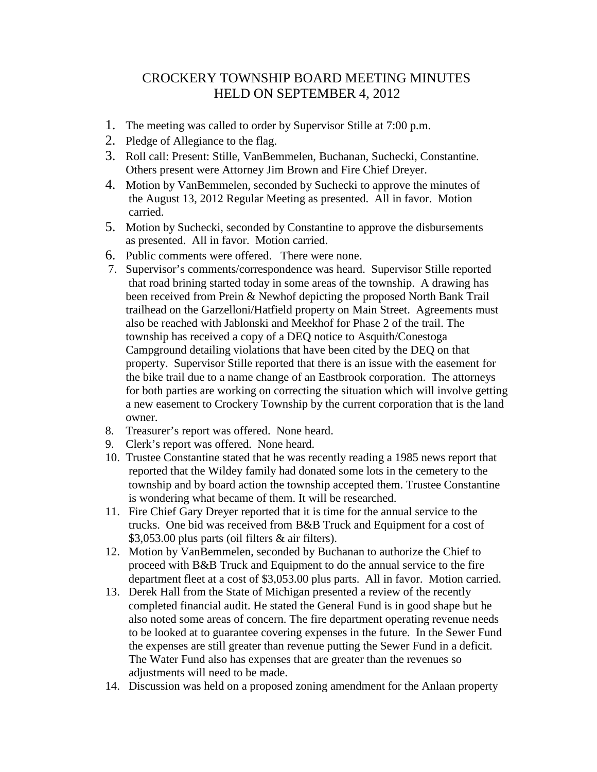## CROCKERY TOWNSHIP BOARD MEETING MINUTES HELD ON SEPTEMBER 4, 2012

- 1. The meeting was called to order by Supervisor Stille at 7:00 p.m.
- 2. Pledge of Allegiance to the flag.
- 3. Roll call: Present: Stille, VanBemmelen, Buchanan, Suchecki, Constantine. Others present were Attorney Jim Brown and Fire Chief Dreyer.
- 4. Motion by VanBemmelen, seconded by Suchecki to approve the minutes of the August 13, 2012 Regular Meeting as presented. All in favor. Motion carried.
- 5. Motion by Suchecki, seconded by Constantine to approve the disbursements as presented. All in favor. Motion carried.
- 6. Public comments were offered. There were none.
- 7. Supervisor's comments/correspondence was heard. Supervisor Stille reported that road brining started today in some areas of the township. A drawing has been received from Prein & Newhof depicting the proposed North Bank Trail trailhead on the Garzelloni/Hatfield property on Main Street. Agreements must also be reached with Jablonski and Meekhof for Phase 2 of the trail. The township has received a copy of a DEQ notice to Asquith/Conestoga Campground detailing violations that have been cited by the DEQ on that property. Supervisor Stille reported that there is an issue with the easement for the bike trail due to a name change of an Eastbrook corporation. The attorneys for both parties are working on correcting the situation which will involve getting a new easement to Crockery Township by the current corporation that is the land owner.
- 8. Treasurer's report was offered. None heard.
- 9. Clerk's report was offered. None heard.
- 10. Trustee Constantine stated that he was recently reading a 1985 news report that reported that the Wildey family had donated some lots in the cemetery to the township and by board action the township accepted them. Trustee Constantine is wondering what became of them. It will be researched.
- 11. Fire Chief Gary Dreyer reported that it is time for the annual service to the trucks. One bid was received from B&B Truck and Equipment for a cost of \$3,053.00 plus parts (oil filters & air filters).
- 12. Motion by VanBemmelen, seconded by Buchanan to authorize the Chief to proceed with B&B Truck and Equipment to do the annual service to the fire department fleet at a cost of \$3,053.00 plus parts. All in favor. Motion carried.
- 13. Derek Hall from the State of Michigan presented a review of the recently completed financial audit. He stated the General Fund is in good shape but he also noted some areas of concern. The fire department operating revenue needs to be looked at to guarantee covering expenses in the future. In the Sewer Fund the expenses are still greater than revenue putting the Sewer Fund in a deficit. The Water Fund also has expenses that are greater than the revenues so adjustments will need to be made.
- 14. Discussion was held on a proposed zoning amendment for the Anlaan property